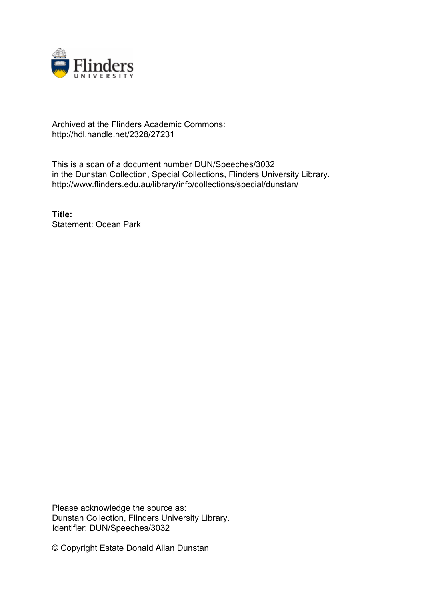

## Archived at the Flinders Academic Commons: http://hdl.handle.net/2328/27231

This is a scan of a document number DUN/Speeches/3032 in the Dunstan Collection, Special Collections, Flinders University Library. http://www.flinders.edu.au/library/info/collections/special/dunstan/

**Title:** Statement: Ocean Park

Please acknowledge the source as: Dunstan Collection, Flinders University Library. Identifier: DUN/Speeches/3032

© Copyright Estate Donald Allan Dunstan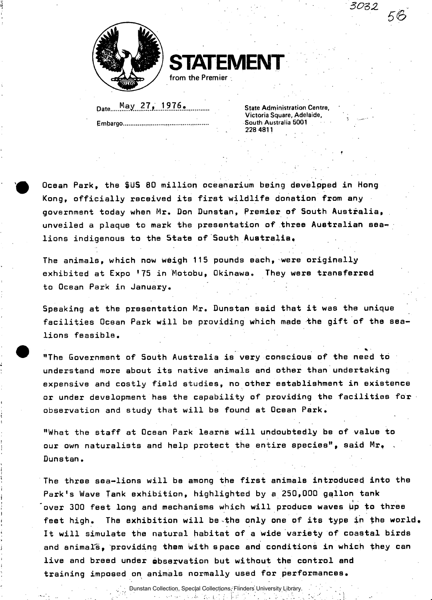

**STATEMENT**  from the Premier

Date May..27,...1.?76o .

Embargo

State Administration Centre, Victoria Square, Adelaide, South Australia 5001 228 4811

*<sup>3022</sup>***56** 

• \* •

**Ocean Park, the \$US 80 million oceanarium being developed in Hong Kong, officially received its first wildlife donation from any government today when Mr. Don Dunatan, Premier of South Australia, unveiled a plaque to mark the presentation of three Australian aealions indigenous to the State of South Australia.** 

**The animals, which now weigh 115 pounds each, were originally exhibited at Expo '75 in Motobu, Okinawa. They were transferred to Ocean Park in January.** 

**Speaking at the presentation Mr. Dunstan said that it was the unique**  facilities Ocean Park will be providing which made the gift of the sea**lions feasible.** 

**"The Government of South Australia is very conscious of the need to understand more about its native animals and other than undertaking expensive and costly field studies, no other establishment in existence or under development has the capability of providing the facilities for observation and study that will be found at Ocean Park.** 

**"What the staff at Ocean Park learns will undoubtedly be of value to our own naturalists and help protect the entire species", said Mr. , Dunstan.** 

**The three sea-lions will be among the first animals introduced into the Park's Wave Tank exhibition, highlighted by a 250,000 gallon tank "over 300 feet long and mechanisms which will produce waves up to three feet high. The exhibition will be the only one of its type in the world. It will simulate the natural habitat of a wide variety of coastal birds and animals, providing them with space and conditions in which they can live and breed under observation but without the control and training imposed on animals normally used for performances.** 

> Dunstan Collection, Special Collections, Flinders University Library. $\sim$  1